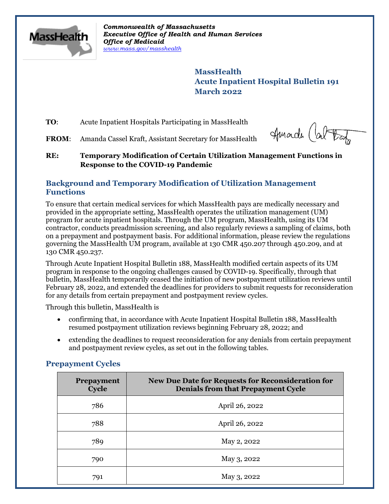

*Commonwealth of Massachusetts Executive Office of Health and Human Services Office of Medicaid [www.mass.gov/masshealth](http://www.mass.gov/masshealth)*

> **MassHealth Acute Inpatient Hospital Bulletin 191 March 2022**

**TO**: Acute Inpatient Hospitals Participating in MassHealth

FROM: Amanda Cassel Kraft, Assistant Secretary for MassHealth

Amade (about

#### **RE: Temporary Modification of Certain Utilization Management Functions in Response to the COVID-19 Pandemic**

# **Background and Temporary Modification of Utilization Management Functions**

To ensure that certain medical services for which MassHealth pays are medically necessary and provided in the appropriate setting, MassHealth operates the utilization management (UM) program for acute inpatient hospitals. Through the UM program, MassHealth, using its UM contractor, conducts preadmission screening, and also regularly reviews a sampling of claims, both on a prepayment and postpayment basis. For additional information, please review the regulations governing the MassHealth UM program, available at 130 CMR 450.207 through 450.209, and at 130 CMR 450.237.

Through Acute Inpatient Hospital Bulletin 188, MassHealth modified certain aspects of its UM program in response to the ongoing challenges caused by COVID-19. Specifically, through that bulletin, MassHealth temporarily ceased the initiation of new postpayment utilization reviews until February 28, 2022, and extended the deadlines for providers to submit requests for reconsideration for any details from certain prepayment and postpayment review cycles.

Through this bulletin, MassHealth is

- confirming that, in accordance with Acute Inpatient Hospital Bulletin 188, MassHealth resumed postpayment utilization reviews beginning February 28, 2022; and
- extending the deadlines to request reconsideration for any denials from certain prepayment and postpayment review cycles, as set out in the following tables.

## **Prepayment Cycles**

| <b>Prepayment</b><br>Cycle | <b>New Due Date for Requests for Reconsideration for</b><br><b>Denials from that Prepayment Cycle</b> |
|----------------------------|-------------------------------------------------------------------------------------------------------|
| 786                        | April 26, 2022                                                                                        |
| 788                        | April 26, 2022                                                                                        |
| 789                        | May 2, 2022                                                                                           |
| 790                        | May 3, 2022                                                                                           |
| 791                        | May 3, 2022                                                                                           |